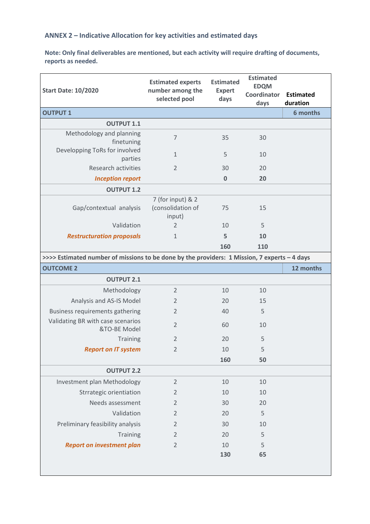## **ANNEX 2 – Indicative Allocation for key activities and estimated days**

**Note: Only final deliverables are mentioned, but each activity will require drafting of documents, reports as needed.**

| <b>Start Date: 10/2020</b>                                                                   | <b>Estimated experts</b><br>number among the<br>selected pool | <b>Estimated</b><br><b>Expert</b><br>days | <b>Estimated</b><br><b>EDQM</b> |                              |  |  |
|----------------------------------------------------------------------------------------------|---------------------------------------------------------------|-------------------------------------------|---------------------------------|------------------------------|--|--|
|                                                                                              |                                                               |                                           | Coordinator<br>days             | <b>Estimated</b><br>duration |  |  |
| <b>OUTPUT 1</b>                                                                              |                                                               |                                           |                                 | 6 months                     |  |  |
| <b>OUTPUT 1.1</b>                                                                            |                                                               |                                           |                                 |                              |  |  |
| Methodology and planning<br>finetuning                                                       | $\overline{7}$                                                | 35                                        | 30                              |                              |  |  |
| Developping ToRs for involved<br>parties                                                     | $\mathbf{1}$                                                  | 5                                         | 10                              |                              |  |  |
| <b>Research activities</b>                                                                   | 2                                                             | 30                                        | 20                              |                              |  |  |
| <b>Inception report</b>                                                                      |                                                               | $\bf{0}$                                  | 20                              |                              |  |  |
| <b>OUTPUT 1.2</b>                                                                            |                                                               |                                           |                                 |                              |  |  |
| Gap/contextual analysis                                                                      | 7 (for input) & 2<br>(consolidation of<br>input)              | 75                                        | 15                              |                              |  |  |
| Validation                                                                                   | $\overline{2}$                                                | 10                                        | 5                               |                              |  |  |
| <b>Restructuration proposals</b>                                                             | $\mathbf{1}$                                                  | 5                                         | 10                              |                              |  |  |
|                                                                                              |                                                               | 160                                       | 110                             |                              |  |  |
| >>>> Estimated number of missions to be done by the providers: 1 Mission, 7 experts - 4 days |                                                               |                                           |                                 |                              |  |  |
| <b>OUTCOME 2</b>                                                                             |                                                               |                                           |                                 | 12 months                    |  |  |
| <b>OUTPUT 2.1</b>                                                                            |                                                               |                                           |                                 |                              |  |  |
| Methodology                                                                                  | $\overline{2}$                                                | 10                                        | 10                              |                              |  |  |
| Analysis and AS-IS Model                                                                     | $\overline{2}$                                                | 20                                        | 15                              |                              |  |  |
| Business requirements gathering                                                              | $\overline{2}$                                                | 40                                        | 5                               |                              |  |  |
| Validating BR with case scenarios<br>&TO-BE Model                                            | $\overline{2}$                                                | 60                                        | 10                              |                              |  |  |
| Training                                                                                     | $\overline{2}$                                                | 20                                        | 5                               |                              |  |  |
| <b>Report on IT system</b>                                                                   | $\overline{2}$                                                | 10                                        | 5                               |                              |  |  |
|                                                                                              |                                                               | 160                                       | 50                              |                              |  |  |
| <b>OUTPUT 2.2</b>                                                                            |                                                               |                                           |                                 |                              |  |  |
| Investment plan Methodology                                                                  | $\overline{2}$                                                | 10                                        | 10                              |                              |  |  |
| Strrategic orientiation                                                                      | $\overline{2}$                                                | 10                                        | 10                              |                              |  |  |
| Needs assessment                                                                             | $\overline{2}$                                                | 30                                        | 20                              |                              |  |  |
| Validation                                                                                   | $\overline{2}$                                                | 20                                        | 5                               |                              |  |  |
| Preliminary feasibility analysis                                                             | $\overline{2}$                                                | 30                                        | 10                              |                              |  |  |
| <b>Training</b>                                                                              | 2                                                             | 20                                        | 5                               |                              |  |  |
| <b>Report on investment plan</b>                                                             | 2                                                             | 10                                        | 5                               |                              |  |  |
|                                                                                              |                                                               | 130                                       | 65                              |                              |  |  |
|                                                                                              |                                                               |                                           |                                 |                              |  |  |